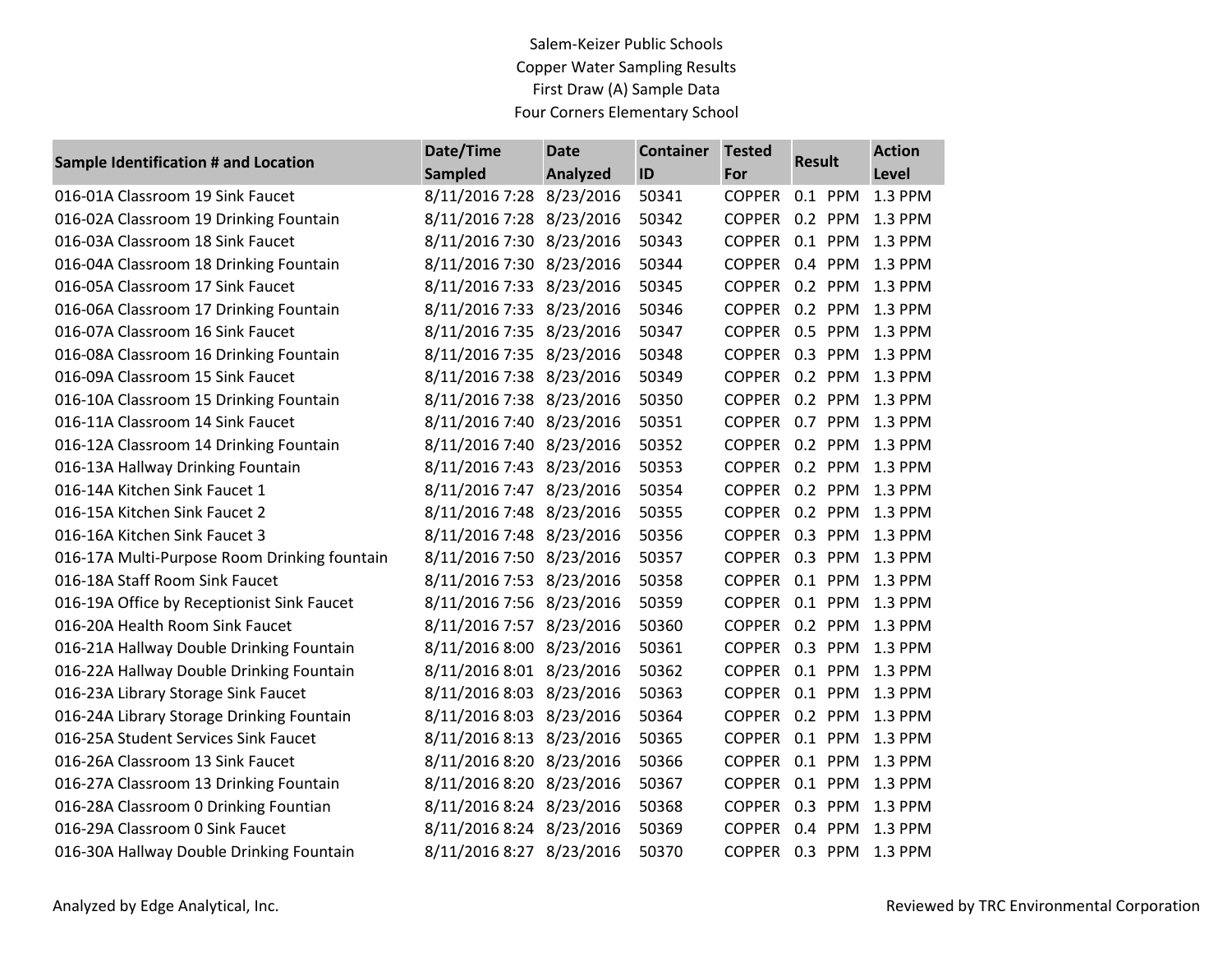## Salem-Keizer Public Schools Copper Water Sampling Results First Draw (A) Sample Data Four Corners Elementary School

| <b>Sample Identification # and Location</b>  | Date/Time                | <b>Date</b>     | <b>Container</b> | <b>Tested</b> | <b>Result</b>          | <b>Action</b>   |
|----------------------------------------------|--------------------------|-----------------|------------------|---------------|------------------------|-----------------|
|                                              | <b>Sampled</b>           | <b>Analyzed</b> | ID               | <b>For</b>    |                        | Level           |
| 016-01A Classroom 19 Sink Faucet             | 8/11/2016 7:28 8/23/2016 |                 | 50341            | <b>COPPER</b> | 0.1 PPM                | 1.3 PPM         |
| 016-02A Classroom 19 Drinking Fountain       | 8/11/2016 7:28 8/23/2016 |                 | 50342            |               | COPPER 0.2 PPM 1.3 PPM |                 |
| 016-03A Classroom 18 Sink Faucet             | 8/11/2016 7:30 8/23/2016 |                 | 50343            | <b>COPPER</b> |                        | 0.1 PPM 1.3 PPM |
| 016-04A Classroom 18 Drinking Fountain       | 8/11/2016 7:30 8/23/2016 |                 | 50344            | <b>COPPER</b> |                        | 0.4 PPM 1.3 PPM |
| 016-05A Classroom 17 Sink Faucet             | 8/11/2016 7:33 8/23/2016 |                 | 50345            |               | COPPER 0.2 PPM 1.3 PPM |                 |
| 016-06A Classroom 17 Drinking Fountain       | 8/11/2016 7:33 8/23/2016 |                 | 50346            | <b>COPPER</b> |                        | 0.2 PPM 1.3 PPM |
| 016-07A Classroom 16 Sink Faucet             | 8/11/2016 7:35 8/23/2016 |                 | 50347            |               | COPPER 0.5 PPM 1.3 PPM |                 |
| 016-08A Classroom 16 Drinking Fountain       | 8/11/2016 7:35 8/23/2016 |                 | 50348            | <b>COPPER</b> | 0.3 PPM 1.3 PPM        |                 |
| 016-09A Classroom 15 Sink Faucet             | 8/11/2016 7:38 8/23/2016 |                 | 50349            |               | COPPER 0.2 PPM 1.3 PPM |                 |
| 016-10A Classroom 15 Drinking Fountain       | 8/11/2016 7:38 8/23/2016 |                 | 50350            | <b>COPPER</b> |                        | 0.2 PPM 1.3 PPM |
| 016-11A Classroom 14 Sink Faucet             | 8/11/2016 7:40 8/23/2016 |                 | 50351            | <b>COPPER</b> | 0.7 PPM 1.3 PPM        |                 |
| 016-12A Classroom 14 Drinking Fountain       | 8/11/2016 7:40 8/23/2016 |                 | 50352            | <b>COPPER</b> |                        | 0.2 PPM 1.3 PPM |
| 016-13A Hallway Drinking Fountain            | 8/11/2016 7:43 8/23/2016 |                 | 50353            | <b>COPPER</b> |                        | 0.2 PPM 1.3 PPM |
| 016-14A Kitchen Sink Faucet 1                | 8/11/2016 7:47 8/23/2016 |                 | 50354            | <b>COPPER</b> |                        | 0.2 PPM 1.3 PPM |
| 016-15A Kitchen Sink Faucet 2                | 8/11/2016 7:48 8/23/2016 |                 | 50355            | <b>COPPER</b> |                        | 0.2 PPM 1.3 PPM |
| 016-16A Kitchen Sink Faucet 3                | 8/11/2016 7:48 8/23/2016 |                 | 50356            |               | COPPER 0.3 PPM 1.3 PPM |                 |
| 016-17A Multi-Purpose Room Drinking fountain | 8/11/2016 7:50 8/23/2016 |                 | 50357            |               | COPPER 0.3 PPM 1.3 PPM |                 |
| 016-18A Staff Room Sink Faucet               | 8/11/2016 7:53 8/23/2016 |                 | 50358            |               | COPPER 0.1 PPM 1.3 PPM |                 |
| 016-19A Office by Receptionist Sink Faucet   | 8/11/2016 7:56 8/23/2016 |                 | 50359            |               | COPPER 0.1 PPM 1.3 PPM |                 |
| 016-20A Health Room Sink Faucet              | 8/11/2016 7:57           | 8/23/2016       | 50360            | <b>COPPER</b> |                        | 0.2 PPM 1.3 PPM |
| 016-21A Hallway Double Drinking Fountain     | 8/11/2016 8:00 8/23/2016 |                 | 50361            | <b>COPPER</b> | 0.3 PPM 1.3 PPM        |                 |
| 016-22A Hallway Double Drinking Fountain     | 8/11/2016 8:01 8/23/2016 |                 | 50362            |               | COPPER 0.1 PPM 1.3 PPM |                 |
| 016-23A Library Storage Sink Faucet          | 8/11/2016 8:03 8/23/2016 |                 | 50363            | <b>COPPER</b> | 0.1 PPM 1.3 PPM        |                 |
| 016-24A Library Storage Drinking Fountain    | 8/11/2016 8:03 8/23/2016 |                 | 50364            | <b>COPPER</b> |                        | 0.2 PPM 1.3 PPM |
| 016-25A Student Services Sink Faucet         | 8/11/2016 8:13 8/23/2016 |                 | 50365            |               | COPPER 0.1 PPM 1.3 PPM |                 |
| 016-26A Classroom 13 Sink Faucet             | 8/11/2016 8:20 8/23/2016 |                 | 50366            | <b>COPPER</b> |                        | 0.1 PPM 1.3 PPM |
| 016-27A Classroom 13 Drinking Fountain       | 8/11/2016 8:20 8/23/2016 |                 | 50367            | <b>COPPER</b> |                        | 0.1 PPM 1.3 PPM |
| 016-28A Classroom 0 Drinking Fountian        | 8/11/2016 8:24 8/23/2016 |                 | 50368            | <b>COPPER</b> | 0.3 PPM 1.3 PPM        |                 |
| 016-29A Classroom 0 Sink Faucet              | 8/11/2016 8:24           | 8/23/2016       | 50369            | <b>COPPER</b> |                        | 0.4 PPM 1.3 PPM |
| 016-30A Hallway Double Drinking Fountain     | 8/11/2016 8:27 8/23/2016 |                 | 50370            |               | COPPER 0.3 PPM 1.3 PPM |                 |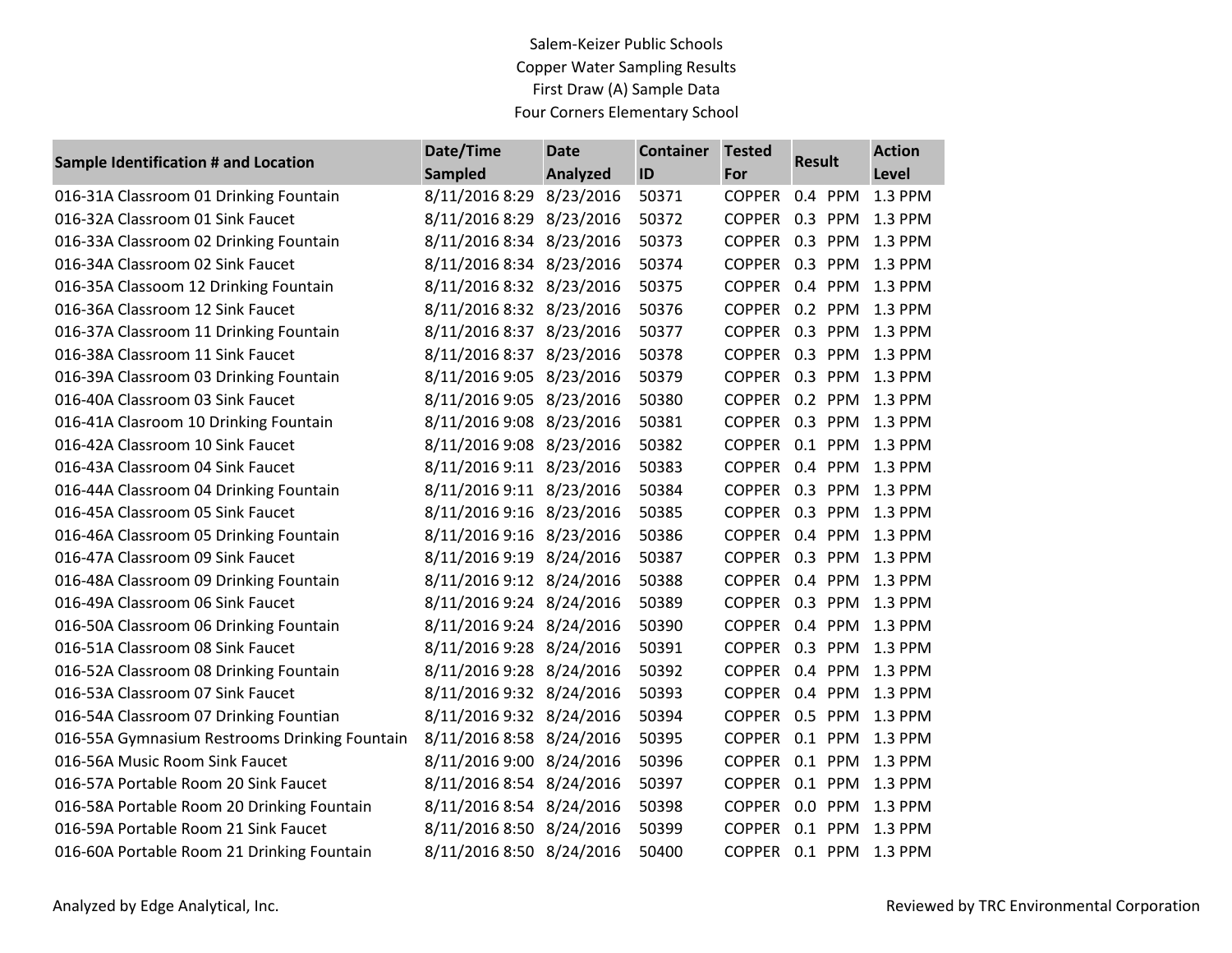## Salem-Keizer Public Schools Copper Water Sampling Results First Draw (A) Sample Data Four Corners Elementary School

| <b>Sample Identification # and Location</b>   | Date/Time                | <b>Date</b> | <b>Container</b> | <b>Tested</b>  | <b>Result</b> |         | <b>Action</b>          |
|-----------------------------------------------|--------------------------|-------------|------------------|----------------|---------------|---------|------------------------|
|                                               | <b>Sampled</b>           | Analyzed    | ID               | For            |               |         | Level                  |
| 016-31A Classroom 01 Drinking Fountain        | 8/11/2016 8:29           | 8/23/2016   | 50371            | <b>COPPER</b>  |               | 0.4 PPM | 1.3 PPM                |
| 016-32A Classroom 01 Sink Faucet              | 8/11/2016 8:29 8/23/2016 |             | 50372            | COPPER 0.3 PPM |               |         | 1.3 PPM                |
| 016-33A Classroom 02 Drinking Fountain        | 8/11/2016 8:34 8/23/2016 |             | 50373            | COPPER 0.3 PPM |               |         | 1.3 PPM                |
| 016-34A Classroom 02 Sink Faucet              | 8/11/2016 8:34 8/23/2016 |             | 50374            | <b>COPPER</b>  |               | 0.3 PPM | 1.3 PPM                |
| 016-35A Classoom 12 Drinking Fountain         | 8/11/2016 8:32 8/23/2016 |             | 50375            | COPPER 0.4 PPM |               |         | 1.3 PPM                |
| 016-36A Classroom 12 Sink Faucet              | 8/11/2016 8:32 8/23/2016 |             | 50376            |                |               |         | COPPER 0.2 PPM 1.3 PPM |
| 016-37A Classroom 11 Drinking Fountain        | 8/11/2016 8:37 8/23/2016 |             | 50377            | COPPER 0.3 PPM |               |         | 1.3 PPM                |
| 016-38A Classroom 11 Sink Faucet              | 8/11/2016 8:37 8/23/2016 |             | 50378            | COPPER 0.3 PPM |               |         | 1.3 PPM                |
| 016-39A Classroom 03 Drinking Fountain        | 8/11/2016 9:05 8/23/2016 |             | 50379            | <b>COPPER</b>  |               | 0.3 PPM | 1.3 PPM                |
| 016-40A Classroom 03 Sink Faucet              | 8/11/2016 9:05 8/23/2016 |             | 50380            |                |               |         | COPPER 0.2 PPM 1.3 PPM |
| 016-41A Clasroom 10 Drinking Fountain         | 8/11/2016 9:08 8/23/2016 |             | 50381            | COPPER 0.3 PPM |               |         | 1.3 PPM                |
| 016-42A Classroom 10 Sink Faucet              | 8/11/2016 9:08 8/23/2016 |             | 50382            | COPPER 0.1 PPM |               |         | 1.3 PPM                |
| 016-43A Classroom 04 Sink Faucet              | 8/11/2016 9:11 8/23/2016 |             | 50383            | COPPER 0.4 PPM |               |         | 1.3 PPM                |
| 016-44A Classroom 04 Drinking Fountain        | 8/11/2016 9:11 8/23/2016 |             | 50384            | COPPER 0.3 PPM |               |         | 1.3 PPM                |
| 016-45A Classroom 05 Sink Faucet              | 8/11/2016 9:16 8/23/2016 |             | 50385            | <b>COPPER</b>  |               | 0.3 PPM | 1.3 PPM                |
| 016-46A Classroom 05 Drinking Fountain        | 8/11/2016 9:16 8/23/2016 |             | 50386            |                |               |         | COPPER 0.4 PPM 1.3 PPM |
| 016-47A Classroom 09 Sink Faucet              | 8/11/2016 9:19 8/24/2016 |             | 50387            |                |               |         | COPPER 0.3 PPM 1.3 PPM |
| 016-48A Classroom 09 Drinking Fountain        | 8/11/2016 9:12 8/24/2016 |             | 50388            | COPPER 0.4 PPM |               |         | 1.3 PPM                |
| 016-49A Classroom 06 Sink Faucet              | 8/11/2016 9:24 8/24/2016 |             | 50389            | COPPER 0.3 PPM |               |         | 1.3 PPM                |
| 016-50A Classroom 06 Drinking Fountain        | 8/11/2016 9:24 8/24/2016 |             | 50390            | <b>COPPER</b>  |               | 0.4 PPM | 1.3 PPM                |
| 016-51A Classroom 08 Sink Faucet              | 8/11/2016 9:28 8/24/2016 |             | 50391            | <b>COPPER</b>  |               | 0.3 PPM | 1.3 PPM                |
| 016-52A Classroom 08 Drinking Fountain        | 8/11/2016 9:28 8/24/2016 |             | 50392            | COPPER 0.4 PPM |               |         | 1.3 PPM                |
| 016-53A Classroom 07 Sink Faucet              | 8/11/2016 9:32 8/24/2016 |             | 50393            | <b>COPPER</b>  |               | 0.4 PPM | 1.3 PPM                |
| 016-54A Classroom 07 Drinking Fountian        | 8/11/2016 9:32 8/24/2016 |             | 50394            | COPPER 0.5 PPM |               |         | 1.3 PPM                |
| 016-55A Gymnasium Restrooms Drinking Fountain | 8/11/2016 8:58 8/24/2016 |             | 50395            | <b>COPPER</b>  |               | 0.1 PPM | 1.3 PPM                |
| 016-56A Music Room Sink Faucet                | 8/11/2016 9:00 8/24/2016 |             | 50396            | <b>COPPER</b>  |               | 0.1 PPM | 1.3 PPM                |
| 016-57A Portable Room 20 Sink Faucet          | 8/11/2016 8:54 8/24/2016 |             | 50397            |                |               |         | COPPER 0.1 PPM 1.3 PPM |
| 016-58A Portable Room 20 Drinking Fountain    | 8/11/2016 8:54 8/24/2016 |             | 50398            | <b>COPPER</b>  |               |         | 0.0 PPM 1.3 PPM        |
| 016-59A Portable Room 21 Sink Faucet          | 8/11/2016 8:50 8/24/2016 |             | 50399            | <b>COPPER</b>  |               | 0.1 PPM | 1.3 PPM                |
| 016-60A Portable Room 21 Drinking Fountain    | 8/11/2016 8:50 8/24/2016 |             | 50400            | COPPER 0.1 PPM |               |         | 1.3 PPM                |